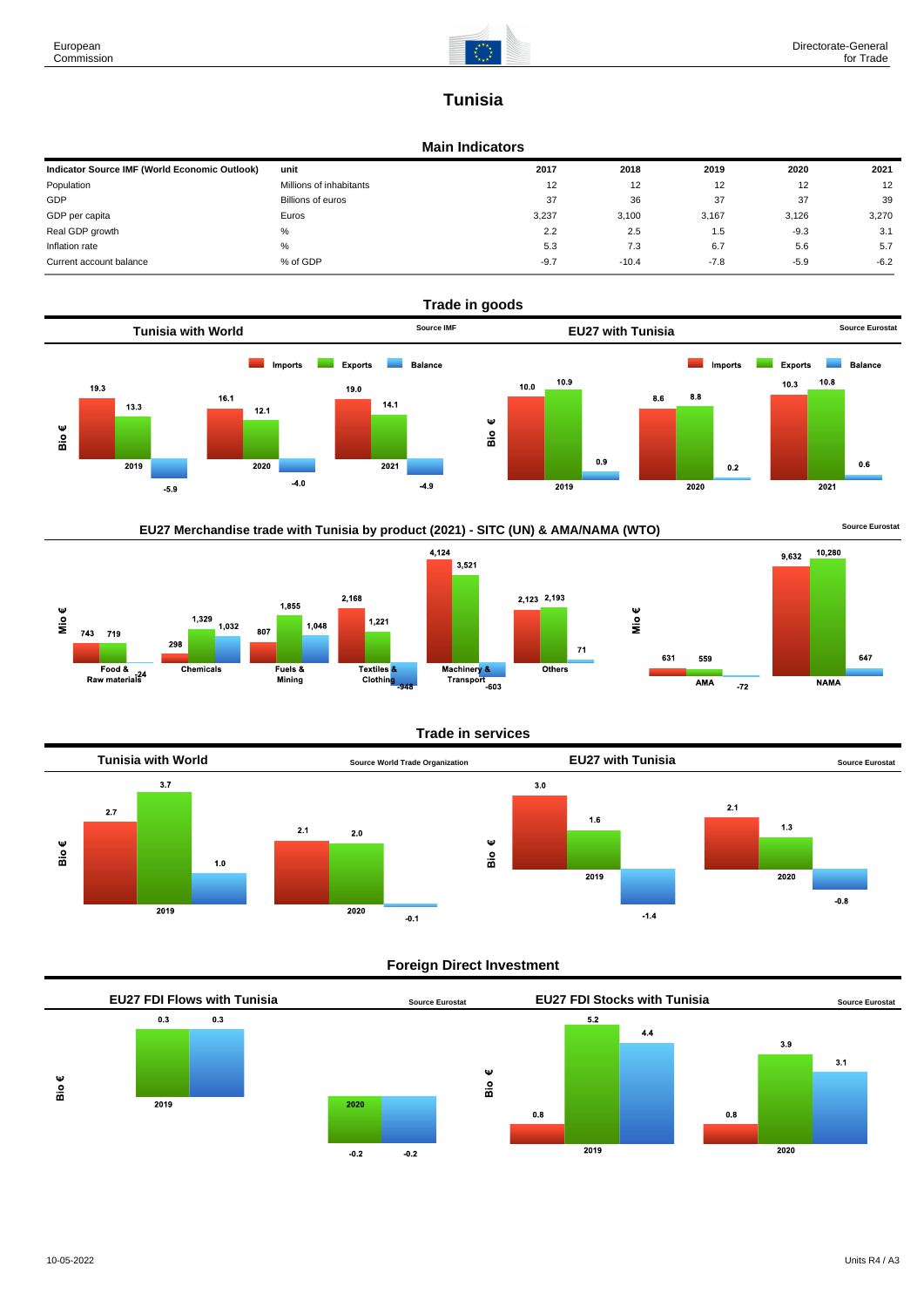Mio $\epsilon$ 

743 719

Food &<br>Raw materials<sup>24</sup>

1,329

Chemicals

298

1,032

807

Fuels &<br>Mining



# **Tunisia**

### **Main Indicators**

| Indicator Source IMF (World Economic Outlook) | unit                     | 2017   | 2018    | 2019   | 2020   | 2021   |
|-----------------------------------------------|--------------------------|--------|---------|--------|--------|--------|
| Population                                    | Millions of inhabitants  | 12     | 12      | 12     | 12     | 12     |
| GDP                                           | <b>Billions of euros</b> | 37     | 36      | 37     | 37     | 39     |
| GDP per capita                                | Euros                    | 3,237  | 3.100   | 3,167  | 3.126  | 3,270  |
| Real GDP growth                               | %                        | 2.2    | 2.5     | 1.5    | $-9.3$ | 3.1    |
| Inflation rate                                | %                        | 5.3    | 7.3     | 6.7    | 5.6    | 5.7    |
| Current account balance                       | % of GDP                 | $-9.7$ | $-10.4$ | $-7.8$ | $-5.9$ | $-6.2$ |





1.048

 $1,221$ 

Textiles<sup>8</sup>

Clothing



Mio€

 $\bf 71$ 

 $rac{1}{\text{Others}}$ 



Machinery &<br>Transport<br>-603



### **Foreign Direct Investment**